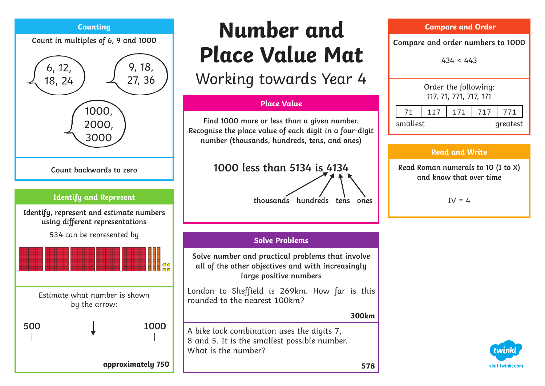

# **Number and Place Value Mat** Working towards Year 4

#### **Place Value**

**Find 1000 more or less than a given number. Recognise the place value of each digit in a four-digit number (thousands, hundreds, tens, and ones)**

## **1000 less than 5134 is 4134**

#### **Solve Problems**

**Solve number and practical problems that involve all of the other objectives and with increasingly large positive numbers** 

London to Sheffield is 269km. How far is this rounded to the nearest 100km?

#### **300km**

A bike lock combination uses the digits 7, 8 and 5. It is the smallest possible number. What is the number?

| <b>Compare and Order</b>                       |    |                  |     |     |     |  |  |  |  |
|------------------------------------------------|----|------------------|-----|-----|-----|--|--|--|--|
| Compare and order numbers to 1000              |    |                  |     |     |     |  |  |  |  |
| 434 < 443                                      |    |                  |     |     |     |  |  |  |  |
| Order the following:<br>117, 71, 771, 717, 171 |    |                  |     |     |     |  |  |  |  |
|                                                | 71 | 117 <sup>1</sup> | 171 | 717 | 771 |  |  |  |  |

#### **Read and Write**

smallest greatest

**Read Roman numerals to 10 (I to X) and know that over time**

 $IV = 4$ 

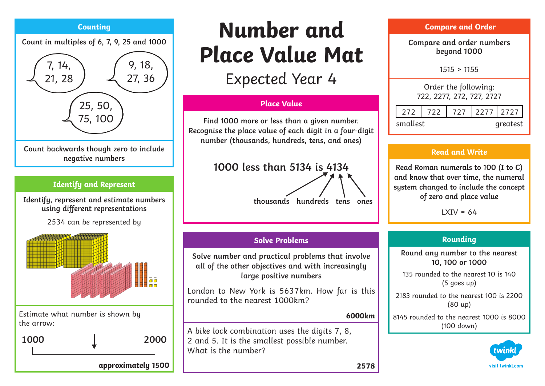#### **Counting**

**Count in multiples of 6, 7, 9, 25 and 1000**



#### **Identify and Represent**

**Identify, represent and estimate numbers using different representations** 

2534 can be represented by



Estimate what number is shown by the arrow:



# **Number and Place Value Mat**

Expected Year 4

#### **Place Value**

**Find 1000 more or less than a given number. Recognise the place value of each digit in a four-digit number (thousands, hundreds, tens, and ones)**

### **1000 less than 5134 is 4134**



#### **Solve Problems**

**Solve number and practical problems that involve all of the other objectives and with increasingly large positive numbers** 

London to New York is 5637km. How far is this rounded to the nearest 1000km?

#### **6000km**

A bike lock combination uses the digits 7, 8, 2 and 5. It is the smallest possible number. What is the number?

| <b>Compare and Order</b>                          |  |  |  |                   |  |  |  |  |
|---------------------------------------------------|--|--|--|-------------------|--|--|--|--|
| Compare and order numbers<br>beyond 1000          |  |  |  |                   |  |  |  |  |
| 1515 > 1155                                       |  |  |  |                   |  |  |  |  |
| Order the following:<br>722, 2277, 272, 727, 2727 |  |  |  |                   |  |  |  |  |
| 272                                               |  |  |  | 722 727 2277 2727 |  |  |  |  |
| smallest                                          |  |  |  | areatest          |  |  |  |  |

#### **Read and Write**

**Read Roman numerals to 100 (I to C) and know that over time, the numeral system changed to include the concept of zero and place value**

 $IXIV = 64$ 

#### **Rounding**

**Round any number to the nearest 10, 100 or 1000**

135 rounded to the nearest 10 is 140 (5 goes up)

2183 rounded to the nearest 100 is 2200 (80 up)

8145 rounded to the nearest 1000 is 8000 (100 down)